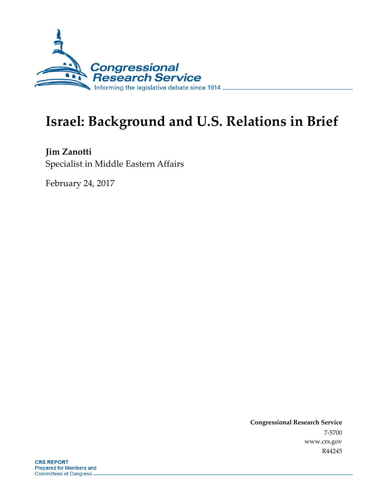

# **Israel: Background and U.S. Relations in Brief**

**Jim Zanotti** Specialist in Middle Eastern Affairs

February 24, 2017

**Congressional Research Service** 7-5700 www.crs.gov R44245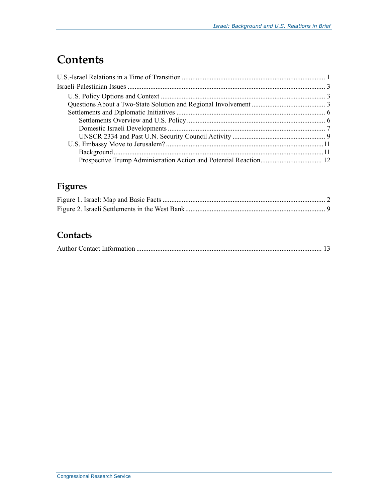# **Contents**

# **Figures**

# **Contacts**

|--|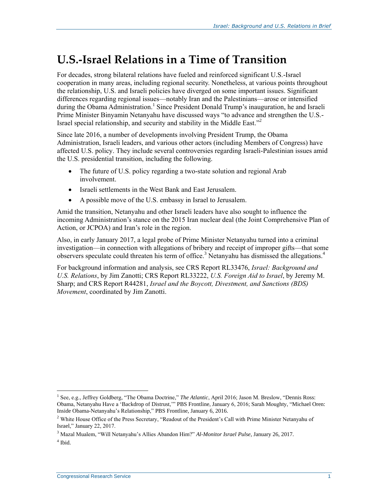# **U.S.-Israel Relations in a Time of Transition**

For decades, strong bilateral relations have fueled and reinforced significant U.S.-Israel cooperation in many areas, including regional security. Nonetheless, at various points throughout the relationship, U.S. and Israeli policies have diverged on some important issues. Significant differences regarding regional issues—notably Iran and the Palestinians—arose or intensified during the Obama Administration. 1 Since President Donald Trump's inauguration, he and Israeli Prime Minister Binyamin Netanyahu have discussed ways "to advance and strengthen the U.S.- Israel special relationship, and security and stability in the Middle East."<sup>2</sup>

Since late 2016, a number of developments involving President Trump, the Obama Administration, Israeli leaders, and various other actors (including Members of Congress) have affected U.S. policy. They include several controversies regarding Israeli-Palestinian issues amid the U.S. presidential transition, including the following.

- The future of U.S. policy regarding a two-state solution and regional Arab involvement.
- Israeli settlements in the West Bank and East Jerusalem.
- A possible move of the U.S. embassy in Israel to Jerusalem.

Amid the transition, Netanyahu and other Israeli leaders have also sought to influence the incoming Administration's stance on the 2015 Iran nuclear deal (the Joint Comprehensive Plan of Action, or JCPOA) and Iran's role in the region.

Also, in early January 2017, a legal probe of Prime Minister Netanyahu turned into a criminal investigation—in connection with allegations of bribery and receipt of improper gifts—that some observers speculate could threaten his term of office.<sup>3</sup> Netanyahu has dismissed the allegations.<sup>4</sup>

For background information and analysis, see CRS Report RL33476, *Israel: Background and U.S. Relations*, by Jim Zanotti; CRS Report RL33222, *U.S. Foreign Aid to Israel*, by Jeremy M. Sharp; and CRS Report R44281, *Israel and the Boycott, Divestment, and Sanctions (BDS) Movement*, coordinated by Jim Zanotti.

<sup>1</sup> See, e.g., Jeffrey Goldberg, "The Obama Doctrine," *The Atlantic*, April 2016; Jason M. Breslow, "Dennis Ross: Obama, Netanyahu Have a 'Backdrop of Distrust,'" PBS Frontline, January 6, 2016; Sarah Moughty, "Michael Oren: Inside Obama-Netanyahu's Relationship," PBS Frontline, January 6, 2016.

<sup>&</sup>lt;sup>2</sup> White House Office of the Press Secretary, "Readout of the President's Call with Prime Minister Netanyahu of Israel," January 22, 2017.

<sup>3</sup> Mazal Mualem, "Will Netanyahu's Allies Abandon Him?" *Al-Monitor Israel Pulse*, January 26, 2017. 4 Ibid.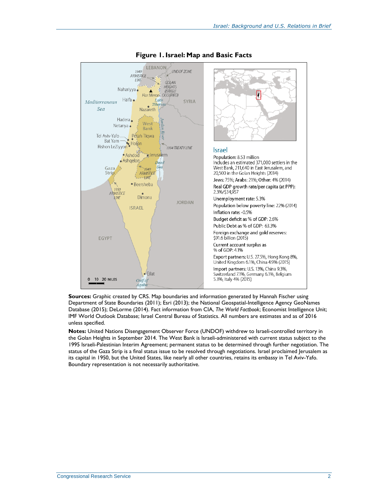

#### **Figure 1. Israel: Map and Basic Facts**

**Sources:** Graphic created by CRS. Map boundaries and information generated by Hannah Fischer using Department of State Boundaries (2011); Esri (2013); the National Geospatial-Intelligence Agency GeoNames Database (2015); DeLorme (2014). Fact information from CIA, *The World Factbook*; Economist Intelligence Unit; IMF World Outlook Database; Israel Central Bureau of Statistics. All numbers are estimates and as of 2016 unless specified.

**Notes:** United Nations Disengagement Observer Force (UNDOF) withdrew to Israeli-controlled territory in the Golan Heights in September 2014. The West Bank is Israeli-administered with current status subject to the 1995 Israeli-Palestinian Interim Agreement; permanent status to be determined through further negotiation. The status of the Gaza Strip is a final status issue to be resolved through negotiations. Israel proclaimed Jerusalem as its capital in 1950, but the United States, like nearly all other countries, retains its embassy in Tel Aviv-Yafo. Boundary representation is not necessarily authoritative.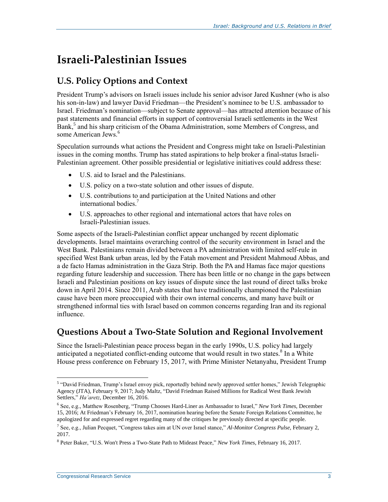# **Israeli-Palestinian Issues**

## **U.S. Policy Options and Context**

President Trump's advisors on Israeli issues include his senior advisor Jared Kushner (who is also his son-in-law) and lawyer David Friedman—the President's nominee to be U.S. ambassador to Israel. Friedman's nomination—subject to Senate approval—has attracted attention because of his past statements and financial efforts in support of controversial Israeli settlements in the West  $Bank<sub>1</sub>$ <sup>5</sup> and his sharp criticism of the Obama Administration, some Members of Congress, and some American Jews.<sup>6</sup>

Speculation surrounds what actions the President and Congress might take on Israeli-Palestinian issues in the coming months. Trump has stated aspirations to help broker a final-status Israeli-Palestinian agreement. Other possible presidential or legislative initiatives could address these:

- U.S. aid to Israel and the Palestinians.
- U.S. policy on a two-state solution and other issues of dispute.
- U.S. contributions to and participation at the United Nations and other international bodies. 7
- U.S. approaches to other regional and international actors that have roles on Israeli-Palestinian issues.

Some aspects of the Israeli-Palestinian conflict appear unchanged by recent diplomatic developments. Israel maintains overarching control of the security environment in Israel and the West Bank. Palestinians remain divided between a PA administration with limited self-rule in specified West Bank urban areas, led by the Fatah movement and President Mahmoud Abbas, and a de facto Hamas administration in the Gaza Strip. Both the PA and Hamas face major questions regarding future leadership and succession. There has been little or no change in the gaps between Israeli and Palestinian positions on key issues of dispute since the last round of direct talks broke down in April 2014. Since 2011, Arab states that have traditionally championed the Palestinian cause have been more preoccupied with their own internal concerns, and many have built or strengthened informal ties with Israel based on common concerns regarding Iran and its regional influence.

### **Questions About a Two-State Solution and Regional Involvement**

Since the Israeli-Palestinian peace process began in the early 1990s, U.S. policy had largely anticipated a negotiated conflict-ending outcome that would result in two states.<sup>8</sup> In a White House press conference on February 15, 2017, with Prime Minister Netanyahu, President Trump

<sup>&</sup>lt;sup>5</sup> "David Friedman, Trump's Israel envoy pick, reportedly behind newly approved settler homes," Jewish Telegraphic Agency (JTA), February 9, 2017; Judy Maltz, "David Friedman Raised Millions for Radical West Bank Jewish Settlers," *Ha'aretz*, December 16, 2016.

<sup>6</sup> See, e.g., Matthew Rosenberg, "Trump Chooses Hard-Liner as Ambassador to Israel," *New York Times*, December 15, 2016; At Friedman's February 16, 2017, nomination hearing before the Senate Foreign Relations Committee, he apologized for and expressed regret regarding many of the critiques he previously directed at specific people.

<sup>7</sup> See, e.g., Julian Pecquet, "Congress takes aim at UN over Israel stance," *Al-Monitor Congress Pulse*, February 2, 2017.

<sup>8</sup> Peter Baker, "U.S. Won't Press a Two-State Path to Mideast Peace," *New York Times*, February 16, 2017.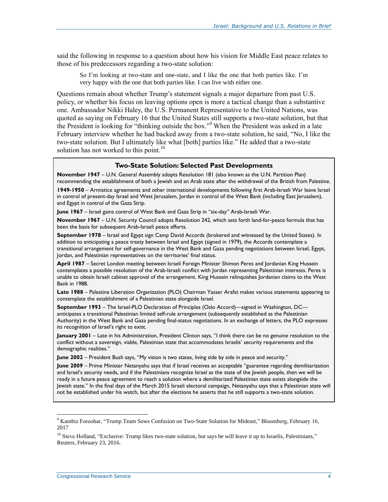said the following in response to a question about how his vision for Middle East peace relates to those of his predecessors regarding a two-state solution:

So I'm looking at two-state and one-state, and I like the one that both parties like. I'm very happy with the one that both parties like. I can live with either one.

Questions remain about whether Trump's statement signals a major departure from past U.S. policy, or whether his focus on leaving options open is more a tactical change than a substantive one. Ambassador Nikki Haley, the U.S. Permanent Representative to the United Nations, was quoted as saying on February 16 that the United States still supports a two-state solution, but that the President is looking for "thinking outside the box."<sup>9</sup> When the President was asked in a late February interview whether he had backed away from a two-state solution, he said, "No, I like the two-state solution. But I ultimately like what [both] parties like." He added that a two-state solution has not worked to this point.<sup>10</sup>

#### **Two-State Solution: Selected Past Developments**

**November 1947** – U.N. General Assembly adopts Resolution 181 (also known as the U.N. Partition Plan) recommending the establishment of both a Jewish and an Arab state after the withdrawal of the British from Palestine.

**1949-1950** – Armistice agreements and other international developments following first Arab-Israeli War leave Israel in control of present-day Israel and West Jerusalem, Jordan in control of the West Bank (including East Jerusalem), and Egypt in control of the Gaza Strip.

**June 1967** – Israel gains control of West Bank and Gaza Strip in "six-day" Arab-Israeli War.

**November 1967** – U.N. Security Council adopts Resolution 242, which sets forth land-for-peace formula that has been the basis for subsequent Arab-Israeli peace efforts.

**September 1978** – Israel and Egypt sign Camp David Accords (brokered and witnessed by the United States). In addition to anticipating a peace treaty between Israel and Egypt (signed in 1979), the Accords contemplate a transitional arrangement for self-governance in the West Bank and Gaza pending negotiations between Israel, Egypt, Jordan, and Palestinian representatives on the territories' final status.

**April 1987** – Secret London meeting between Israeli Foreign Minister Shimon Peres and Jordanian King Hussein contemplates a possible resolution of the Arab-Israeli conflict with Jordan representing Palestinian interests. Peres is unable to obtain Israeli cabinet approval of the arrangement. King Hussein relinquishes Jordanian claims to the West Bank in 1988.

**Late 1988** – Palestine Liberation Organization (PLO) Chairman Yasser Arafat makes various statements appearing to contemplate the establishment of a Palestinian state alongside Israel.

**September 1993** – The Israel-PLO Declaration of Principles (Oslo Accord)—signed in Washington, DC anticipates a transitional Palestinian limited self-rule arrangement (subsequently established as the Palestinian Authority) in the West Bank and Gaza pending final-status negotiations. In an exchange of letters, the PLO expresses its recognition of Israel's right to exist.

**January 2001** – Late in his Administration, President Clinton says, "I think there can be no genuine resolution to the conflict without a sovereign, viable, Palestinian state that accommodates Israelis' security requirements and the demographic realities."

**June 2002** – President Bush says, "My vision is two states, living side by side in peace and security."

**June 2009** – Prime Minister Netanyahu says that if Israel receives an acceptable "guarantee regarding demilitarization and Israel's security needs, and if the Palestinians recognize Israel as the state of the Jewish people, then we will be ready in a future peace agreement to reach a solution where a demilitarized Palestinian state exists alongside the Jewish state." In the final days of the March 2015 Israeli electoral campaign, Netanyahu says that a Palestinian state will not be established under his watch, but after the elections he asserts that he still supports a two-state solution.

<sup>9</sup> Kambiz Foroohar, "Trump Team Sows Confusion on Two-State Solution for Mideast," Bloomberg, February 16, 2017

<sup>&</sup>lt;sup>10</sup> Steve Holland, "Exclusive: Trump likes two-state solution, but says he will leave it up to Israelis, Palestinians," Reuters, February 23, 2016.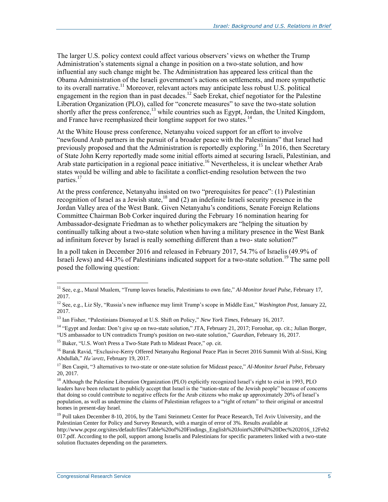The larger U.S. policy context could affect various observers' views on whether the Trump Administration's statements signal a change in position on a two-state solution, and how influential any such change might be. The Administration has appeared less critical than the Obama Administration of the Israeli government's actions on settlements, and more sympathetic to its overall narrative.<sup>11</sup> Moreover, relevant actors may anticipate less robust U.S. political engagement in the region than in past decades.<sup>12</sup> Saeb Erekat, chief negotiator for the Palestine Liberation Organization (PLO), called for "concrete measures" to save the two-state solution shortly after the press conference,<sup>13</sup> while countries such as Egypt, Jordan, the United Kingdom, and France have reemphasized their longtime support for two states.<sup>14</sup>

At the White House press conference, Netanyahu voiced support for an effort to involve "newfound Arab partners in the pursuit of a broader peace with the Palestinians" that Israel had previously proposed and that the Administration is reportedly exploring.<sup>15</sup> In 2016, then Secretary of State John Kerry reportedly made some initial efforts aimed at securing Israeli, Palestinian, and Arab state participation in a regional peace initiative. <sup>16</sup> Nevertheless, it is unclear whether Arab states would be willing and able to facilitate a conflict-ending resolution between the two parties. 17

At the press conference, Netanyahu insisted on two "prerequisites for peace": (1) Palestinian recognition of Israel as a Jewish state,<sup>18</sup> and (2) an indefinite Israeli security presence in the Jordan Valley area of the West Bank. Given Netanyahu's conditions, Senate Foreign Relations Committee Chairman Bob Corker inquired during the February 16 nomination hearing for Ambassador-designate Friedman as to whether policymakers are "helping the situation by continually talking about a two-state solution when having a military presence in the West Bank ad infinitum forever by Israel is really something different than a two- state solution?"

In a poll taken in December 2016 and released in February 2017, 54.7% of Israelis (49.9% of Israeli Jews) and 44.3% of Palestinians indicated support for a two-state solution.<sup>19</sup> The same poll posed the following question:

<sup>14</sup> "Egypt and Jordan: Don't give up on two-state solution," JTA, February 21, 2017; Foroohar, op. cit.; Julian Borger, "US ambassador to UN contradicts Trump's position on two-state solution," *Guardian*, February 16, 2017.

<sup>15</sup> Baker, "U.S. Won't Press a Two-State Path to Mideast Peace," op. cit.

<sup>16</sup> Barak Ravid, "Exclusive-Kerry Offered Netanyahu Regional Peace Plan in Secret 2016 Summit With al-Sissi, King Abdullah," *Ha'aretz*, February 19, 2017.

<sup>11</sup> See, e.g., Mazal Mualem, "Trump leaves Israelis, Palestinians to own fate," *Al-Monitor Israel Pulse*, February 17, 2017.

<sup>12</sup> See, e.g., Liz Sly, "Russia's new influence may limit Trump's scope in Middle East," *Washington Post*, January 22, 2017.

<sup>13</sup> Ian Fisher, "Palestinians Dismayed at U.S. Shift on Policy," *New York Times*, February 16, 2017.

<sup>17</sup> Ben Caspit, "3 alternatives to two-state or one-state solution for Mideast peace," *Al-Monitor Israel Pulse*, February 20, 2017.

<sup>&</sup>lt;sup>18</sup> Although the Palestine Liberation Organization (PLO) explicitly recognized Israel's right to exist in 1993, PLO leaders have been reluctant to publicly accept that Israel is the "nation-state of the Jewish people" because of concerns that doing so could contribute to negative effects for the Arab citizens who make up approximately 20% of Israel's population, as well as undermine the claims of Palestinian refugees to a "right of return" to their original or ancestral homes in present-day Israel.

 $19$  Poll taken December 8-10, 2016, by the Tami Steinmetz Center for Peace Research, Tel Aviv University, and the Palestinian Center for Policy and Survey Research, with a margin of error of 3%. Results available at

http://www.pcpsr.org/sites/default/files/Table%20of%20Findings\_English%20Joint%20Poll%20Dec%202016\_12Feb2 017.pdf. According to the poll, support among Israelis and Palestinians for specific parameters linked with a two-state solution fluctuates depending on the parameters.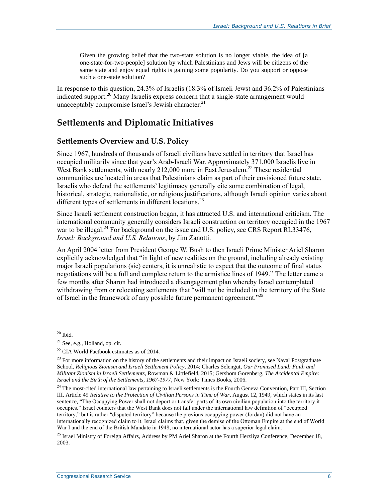Given the growing belief that the two-state solution is no longer viable, the idea of [a one-state-for-two-people] solution by which Palestinians and Jews will be citizens of the same state and enjoy equal rights is gaining some popularity. Do you support or oppose such a one-state solution?

In response to this question, 24.3% of Israelis (18.3% of Israeli Jews) and 36.2% of Palestinians indicated support.<sup>20</sup> Many Israelis express concern that a single-state arrangement would unacceptably compromise Israel's Jewish character. $^{21}$ 

## **Settlements and Diplomatic Initiatives**

#### **Settlements Overview and U.S. Policy**

Since 1967, hundreds of thousands of Israeli civilians have settled in territory that Israel has occupied militarily since that year's Arab-Israeli War. Approximately 371,000 Israelis live in West Bank settlements, with nearly  $212,000$  more in East Jerusalem.<sup>22</sup> These residential communities are located in areas that Palestinians claim as part of their envisioned future state. Israelis who defend the settlements' legitimacy generally cite some combination of legal, historical, strategic, nationalistic, or religious justifications, although Israeli opinion varies about different types of settlements in different locations.<sup>23</sup>

Since Israeli settlement construction began, it has attracted U.S. and international criticism. The international community generally considers Israeli construction on territory occupied in the 1967 war to be illegal.<sup>24</sup> For background on the issue and U.S. policy, see CRS Report RL33476, *Israel: Background and U.S. Relations*, by Jim Zanotti.

An April 2004 letter from President George W. Bush to then Israeli Prime Minister Ariel Sharon explicitly acknowledged that "in light of new realities on the ground, including already existing major Israeli populations (sic) centers, it is unrealistic to expect that the outcome of final status negotiations will be a full and complete return to the armistice lines of 1949." The letter came a few months after Sharon had introduced a disengagement plan whereby Israel contemplated withdrawing from or relocating settlements that "will not be included in the territory of the State of Israel in the framework of any possible future permanent agreement."<sup>25</sup>

 $\overline{a}$  $20$  Ibid.

 $21$  See, e.g., Holland, op. cit.

 $22$  CIA World Factbook estimates as of 2014.

<sup>&</sup>lt;sup>23</sup> For more information on the history of the settlements and their impact on Israeli society, see Naval Postgraduate School, *Religious Zionism and Israeli Settlement Policy*, 2014; Charles Selengut, *Our Promised Land: Faith and Militant Zionism in Israeli Settlements*, Rowman & Littlefield, 2015; Gershom Gorenberg, *The Accidental Empire: Israel and the Birth of the Settlements, 1967-1977*, New York: Times Books, 2006.

 $24$  The most-cited international law pertaining to Israeli settlements is the Fourth Geneva Convention, Part III, Section III, Article 49 *Relative to the Protection of Civilian Persons in Time of War*, August 12, 1949, which states in its last sentence, "The Occupying Power shall not deport or transfer parts of its own civilian population into the territory it occupies." Israel counters that the West Bank does not fall under the international law definition of "occupied territory," but is rather "disputed territory" because the previous occupying power (Jordan) did not have an internationally recognized claim to it. Israel claims that, given the demise of the Ottoman Empire at the end of World War I and the end of the British Mandate in 1948, no international actor has a superior legal claim.

<sup>&</sup>lt;sup>25</sup> Israel Ministry of Foreign Affairs, Address by PM Ariel Sharon at the Fourth Herzliya Conference, December 18, 2003.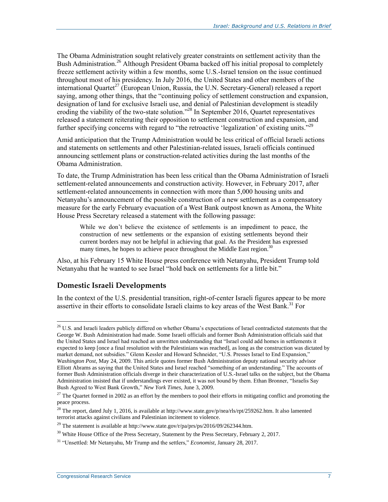The Obama Administration sought relatively greater constraints on settlement activity than the Bush Administration.<sup>26</sup> Although President Obama backed off his initial proposal to completely freeze settlement activity within a few months, some U.S.-Israel tension on the issue continued throughout most of his presidency. In July 2016, the United States and other members of the international Quartet<sup>27</sup> (European Union, Russia, the U.N. Secretary-General) released a report saying, among other things, that the "continuing policy of settlement construction and expansion, designation of land for exclusive Israeli use, and denial of Palestinian development is steadily eroding the viability of the two-state solution."<sup>28</sup> In September 2016, Quartet representatives released a statement reiterating their opposition to settlement construction and expansion, and further specifying concerns with regard to "the retroactive 'legalization' of existing units."<sup>29</sup>

Amid anticipation that the Trump Administration would be less critical of official Israeli actions and statements on settlements and other Palestinian-related issues, Israeli officials continued announcing settlement plans or construction-related activities during the last months of the Obama Administration.

To date, the Trump Administration has been less critical than the Obama Administration of Israeli settlement-related announcements and construction activity. However, in February 2017, after settlement-related announcements in connection with more than 5,000 housing units and Netanyahu's announcement of the possible construction of a new settlement as a compensatory measure for the early February evacuation of a West Bank outpost known as Amona, the White House Press Secretary released a statement with the following passage:

While we don't believe the existence of settlements is an impediment to peace, the construction of new settlements or the expansion of existing settlements beyond their current borders may not be helpful in achieving that goal. As the President has expressed many times, he hopes to achieve peace throughout the Middle East region.<sup>30</sup>

Also, at his February 15 White House press conference with Netanyahu, President Trump told Netanyahu that he wanted to see Israel "hold back on settlements for a little bit."

### **Domestic Israeli Developments**

In the context of the U.S. presidential transition, right-of-center Israeli figures appear to be more assertive in their efforts to consolidate Israeli claims to key areas of the West Bank.<sup>31</sup> For

 $\overline{a}$  $^{26}$  U.S. and Israeli leaders publicly differed on whether Obama's expectations of Israel contradicted statements that the George W. Bush Administration had made. Some Israeli officials and former Bush Administration officials said that the United States and Israel had reached an unwritten understanding that "Israel could add homes in settlements it expected to keep [once a final resolution with the Palestinians was reached], as long as the construction was dictated by market demand, not subsidies." Glenn Kessler and Howard Schneider, "U.S. Presses Israel to End Expansion," *Washington Post*, May 24, 2009. This article quotes former Bush Administration deputy national security advisor Elliott Abrams as saying that the United States and Israel reached "something of an understanding." The accounts of former Bush Administration officials diverge in their characterization of U.S.-Israel talks on the subject, but the Obama Administration insisted that if understandings ever existed, it was not bound by them. Ethan Bronner, "Israelis Say Bush Agreed to West Bank Growth," *New York Times*, June 3, 2009.

 $27$  The Quartet formed in 2002 as an effort by the members to pool their efforts in mitigating conflict and promoting the peace process.

<sup>&</sup>lt;sup>28</sup> The report, dated July 1, 2016, is available at http://www.state.gov/p/nea/rls/rpt/259262.htm. It also lamented terrorist attacks against civilians and Palestinian incitement to violence.

<sup>&</sup>lt;sup>29</sup> The statement is available at http://www.state.gov/r/pa/prs/ps/2016/09/262344.htm.

<sup>&</sup>lt;sup>30</sup> White House Office of the Press Secretary, Statement by the Press Secretary, February 2, 2017.

<sup>31</sup> "Unsettled: Mr Netanyahu, Mr Trump and the settlers," *Economist*, January 28, 2017.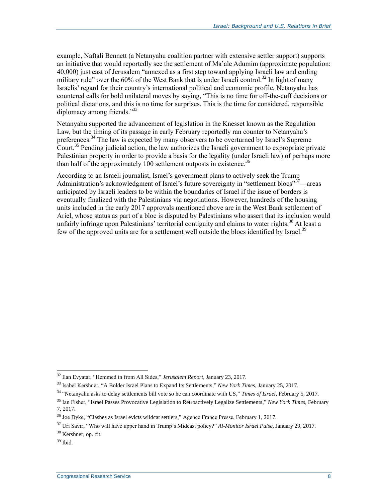example, Naftali Bennett (a Netanyahu coalition partner with extensive settler support) supports an initiative that would reportedly see the settlement of Ma'ale Adumim (approximate population: 40,000) just east of Jerusalem "annexed as a first step toward applying Israeli law and ending military rule" over the  $60\%$  of the West Bank that is under Israeli control.<sup>32</sup> In light of many Israelis' regard for their country's international political and economic profile, Netanyahu has countered calls for bold unilateral moves by saying, "This is no time for off-the-cuff decisions or political dictations, and this is no time for surprises. This is the time for considered, responsible diplomacy among friends."<sup>33</sup>

Netanyahu supported the advancement of legislation in the Knesset known as the Regulation Law, but the timing of its passage in early February reportedly ran counter to Netanyahu's preferences. <sup>34</sup> The law is expected by many observers to be overturned by Israel's Supreme Court.<sup>35</sup> Pending judicial action, the law authorizes the Israeli government to expropriate private Palestinian property in order to provide a basis for the legality (under Israeli law) of perhaps more than half of the approximately 100 settlement outposts in existence.<sup>36</sup>

According to an Israeli journalist, Israel's government plans to actively seek the Trump Administration's acknowledgment of Israel's future sovereignty in "settlement blocs"<sup>37</sup>—areas anticipated by Israeli leaders to be within the boundaries of Israel if the issue of borders is eventually finalized with the Palestinians via negotiations. However, hundreds of the housing units included in the early 2017 approvals mentioned above are in the West Bank settlement of Ariel, whose status as part of a bloc is disputed by Palestinians who assert that its inclusion would unfairly infringe upon Palestinians' territorial contiguity and claims to water rights.<sup>38</sup> At least a few of the approved units are for a settlement well outside the blocs identified by Israel.<sup>39</sup>

<sup>32</sup> Ilan Evyatar, "Hemmed in from All Sides," *Jerusalem Report*, January 23, 2017.

<sup>33</sup> Isabel Kershner, "A Bolder Israel Plans to Expand Its Settlements," *New York Times*, January 25, 2017.

<sup>34</sup> "Netanyahu asks to delay settlements bill vote so he can coordinate with US," *Times of Israel*, February 5, 2017.

<sup>35</sup> Ian Fisher, "Israel Passes Provocative Legislation to Retroactively Legalize Settlements," *New York Times*, February 7, 2017.

<sup>&</sup>lt;sup>36</sup> Joe Dyke, "Clashes as Israel evicts wildcat settlers," Agence France Presse, February 1, 2017.

<sup>37</sup> Uri Savir, "Who will have upper hand in Trump's Mideast policy?" *Al-Monitor Israel Pulse*, January 29, 2017.

<sup>38</sup> Kershner, op. cit.

 $39$  Ibid.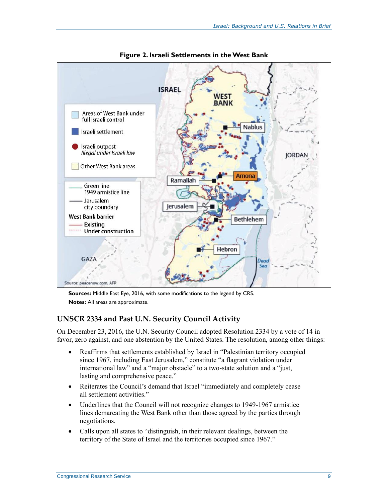

**Figure 2. Israeli Settlements in the West Bank**

**Sources:** Middle East Eye, 2016, with some modifications to the legend by CRS. **Notes:** All areas are approximate.

### **UNSCR 2334 and Past U.N. Security Council Activity**

On December 23, 2016, the U.N. Security Council adopted Resolution 2334 by a vote of 14 in favor, zero against, and one abstention by the United States. The resolution, among other things:

- Reaffirms that settlements established by Israel in "Palestinian territory occupied since 1967, including East Jerusalem," constitute "a flagrant violation under international law" and a "major obstacle" to a two-state solution and a "just, lasting and comprehensive peace."
- Reiterates the Council's demand that Israel "immediately and completely cease all settlement activities."
- Underlines that the Council will not recognize changes to 1949-1967 armistice lines demarcating the West Bank other than those agreed by the parties through negotiations.
- Calls upon all states to "distinguish, in their relevant dealings, between the territory of the State of Israel and the territories occupied since 1967."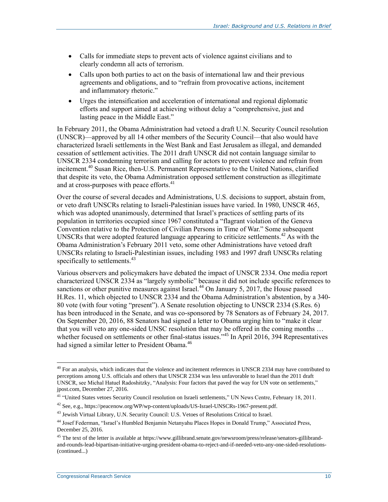- Calls for immediate steps to prevent acts of violence against civilians and to clearly condemn all acts of terrorism.
- Calls upon both parties to act on the basis of international law and their previous agreements and obligations, and to "refrain from provocative actions, incitement and inflammatory rhetoric."
- Urges the intensification and acceleration of international and regional diplomatic efforts and support aimed at achieving without delay a "comprehensive, just and lasting peace in the Middle East."

In February 2011, the Obama Administration had vetoed a draft U.N. Security Council resolution (UNSCR)—approved by all 14 other members of the Security Council—that also would have characterized Israeli settlements in the West Bank and East Jerusalem as illegal, and demanded cessation of settlement activities. The 2011 draft UNSCR did not contain language similar to UNSCR 2334 condemning terrorism and calling for actors to prevent violence and refrain from incitement.<sup>40</sup> Susan Rice, then-U.S. Permanent Representative to the United Nations, clarified that despite its veto, the Obama Administration opposed settlement construction as illegitimate and at cross-purposes with peace efforts.<sup>41</sup>

Over the course of several decades and Administrations, U.S. decisions to support, abstain from, or veto draft UNSCRs relating to Israeli-Palestinian issues have varied. In 1980, UNSCR 465, which was adopted unanimously, determined that Israel's practices of settling parts of its population in territories occupied since 1967 constituted a "flagrant violation of the Geneva Convention relative to the Protection of Civilian Persons in Time of War." Some subsequent UNSCRs that were adopted featured language appearing to criticize settlements.<sup>42</sup> As with the Obama Administration's February 2011 veto, some other Administrations have vetoed draft UNSCRs relating to Israeli-Palestinian issues, including 1983 and 1997 draft UNSCRs relating specifically to settlements.<sup>43</sup>

Various observers and policymakers have debated the impact of UNSCR 2334. One media report characterized UNSCR 2334 as "largely symbolic" because it did not include specific references to sanctions or other punitive measures against Israel.<sup>44</sup> On January 5, 2017, the House passed H.Res. 11, which objected to UNSCR 2334 and the Obama Administration's abstention, by a 340- 80 vote (with four voting "present"). A Senate resolution objecting to UNSCR 2334 (S.Res. 6) has been introduced in the Senate, and was co-sponsored by 78 Senators as of February 24, 2017. On September 20, 2016, 88 Senators had signed a letter to Obama urging him to "make it clear that you will veto any one-sided UNSC resolution that may be offered in the coming months … whether focused on settlements or other final-status issues.<sup>345</sup> In April 2016, 394 Representatives had signed a similar letter to President Obama.<sup>46</sup>

 $\overline{a}$  $^{40}$  For an analysis, which indicates that the violence and incitement references in UNSCR 2334 may have contributed to perceptions among U.S. officials and others that UNSCR 2334 was less unfavorable to Israel than the 2011 draft UNSCR, see Michal Hatuel Radoshitzky, "Analysis: Four factors that paved the way for UN vote on settlements," jpost.com, December 27, 2016.

<sup>&</sup>lt;sup>41</sup> "United States vetoes Security Council resolution on Israeli settlements," UN News Centre, February 18, 2011.

 $^{42}$  See, e.g., https://peacenow.org/WP/wp-content/uploads/US-Israel-UNSCRs-1967-present.pdf.

<sup>&</sup>lt;sup>43</sup> Jewish Virtual Library, U.N. Security Council: U.S. Vetoes of Resolutions Critical to Israel.

<sup>44</sup> Josef Federman, "Israel's Humbled Benjamin Netanyahu Places Hopes in Donald Trump," Associated Press, December 25, 2016.

<sup>&</sup>lt;sup>45</sup> The text of the letter is available at https://www.gillibrand.senate.gov/newsroom/press/release/senators-gillibrandand-rounds-lead-bipartisan-initiative-urging-president-obama-to-reject-and-if-needed-veto-any-one-sided-resolutions- (continued...)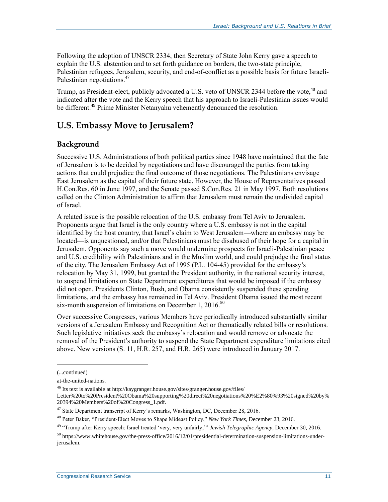Following the adoption of UNSCR 2334, then Secretary of State John Kerry gave a speech to explain the U.S. abstention and to set forth guidance on borders, the two-state principle, Palestinian refugees, Jerusalem, security, and end-of-conflict as a possible basis for future Israeli-Palestinian negotiations.<sup>47</sup>

Trump, as President-elect, publicly advocated a U.S. veto of UNSCR 2344 before the vote,<sup>48</sup> and indicated after the vote and the Kerry speech that his approach to Israeli-Palestinian issues would be different.<sup>49</sup> Prime Minister Netanyahu vehemently denounced the resolution.

## **U.S. Embassy Move to Jerusalem?**

### **Background**

Successive U.S. Administrations of both political parties since 1948 have maintained that the fate of Jerusalem is to be decided by negotiations and have discouraged the parties from taking actions that could prejudice the final outcome of those negotiations. The Palestinians envisage East Jerusalem as the capital of their future state. However, the House of Representatives passed H.Con.Res. 60 in June 1997, and the Senate passed S.Con.Res. 21 in May 1997. Both resolutions called on the Clinton Administration to affirm that Jerusalem must remain the undivided capital of Israel.

A related issue is the possible relocation of the U.S. embassy from Tel Aviv to Jerusalem. Proponents argue that Israel is the only country where a U.S. embassy is not in the capital identified by the host country, that Israel's claim to West Jerusalem—where an embassy may be located—is unquestioned, and/or that Palestinians must be disabused of their hope for a capital in Jerusalem. Opponents say such a move would undermine prospects for Israeli-Palestinian peace and U.S. credibility with Palestinians and in the Muslim world, and could prejudge the final status of the city. The Jerusalem Embassy Act of 1995 (P.L. 104-45) provided for the embassy's relocation by May 31, 1999, but granted the President authority, in the national security interest, to suspend limitations on State Department expenditures that would be imposed if the embassy did not open. Presidents Clinton, Bush, and Obama consistently suspended these spending limitations, and the embassy has remained in Tel Aviv. President Obama issued the most recent six-month suspension of limitations on December 1,  $2016$ <sup>50</sup>

Over successive Congresses, various Members have periodically introduced substantially similar versions of a Jerusalem Embassy and Recognition Act or thematically related bills or resolutions. Such legislative initiatives seek the embassy's relocation and would remove or advocate the removal of the President's authority to suspend the State Department expenditure limitations cited above. New versions (S. 11, H.R. 257, and H.R. 265) were introduced in January 2017.

<sup>(...</sup>continued)

at-the-united-nations.

<sup>46</sup> Its text is available at http://kaygranger.house.gov/sites/granger.house.gov/files/

Letter%20to%20President%20Obama%20supporting%20direct%20negotiations%20%E2%80%93%20signed%20by% 20394%20Members%20of%20Congress\_1.pdf.

<sup>&</sup>lt;sup>47</sup> State Department transcript of Kerry's remarks, Washington, DC, December 28, 2016.

<sup>48</sup> Peter Baker, "President-Elect Moves to Shape Mideast Policy," *New York Times*, December 23, 2016.

<sup>49</sup> "Trump after Kerry speech: Israel treated 'very, very unfairly,'" *Jewish Telegraphic Agency*, December 30, 2016.

 $50$  https://www.whitehouse.gov/the-press-office/2016/12/01/presidential-determination-suspension-limitations-underjerusalem.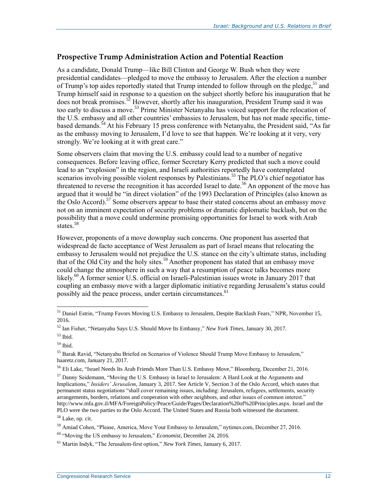### **Prospective Trump Administration Action and Potential Reaction**

As a candidate, Donald Trump—like Bill Clinton and George W. Bush when they were presidential candidates—pledged to move the embassy to Jerusalem. After the election a number of Trump's top aides reportedly stated that Trump intended to follow through on the pledge,<sup>51</sup> and Trump himself said in response to a question on the subject shortly before his inauguration that he does not break promises.<sup>52</sup> However, shortly after his inauguration, President Trump said it was too early to discuss a move.<sup>53</sup> Prime Minister Netanyahu has voiced support for the relocation of the U.S. embassy and all other countries' embassies to Jerusalem, but has not made specific, timebased demands.<sup>54</sup> At his February 15 press conference with Netanyahu, the President said, "As far as the embassy moving to Jerusalem, I'd love to see that happen. We're looking at it very, very strongly. We're looking at it with great care."

Some observers claim that moving the U.S. embassy could lead to a number of negative consequences. Before leaving office, former Secretary Kerry predicted that such a move could lead to an "explosion" in the region, and Israeli authorities reportedly have contemplated scenarios involving possible violent responses by Palestinians.<sup>55</sup> The PLO's chief negotiator has threatened to reverse the recognition it has accorded Israel to date.<sup>56</sup> An opponent of the move has argued that it would be "in direct violation" of the 1993 Declaration of Principles (also known as the Oslo Accord).<sup>57</sup> Some observers appear to base their stated concerns about an embassy move not on an imminent expectation of security problems or dramatic diplomatic backlash, but on the possibility that a move could undermine promising opportunities for Israel to work with Arab states. $58$ 

However, proponents of a move downplay such concerns. One proponent has asserted that widespread de facto acceptance of West Jerusalem as part of Israel means that relocating the embassy to Jerusalem would not prejudice the U.S. stance on the city's ultimate status, including that of the Old City and the holy sites.<sup>59</sup> Another proponent has stated that an embassy move could change the atmosphere in such a way that a resumption of peace talks becomes more likely.<sup>60</sup> A former senior U.S. official on Israeli-Palestinian issues wrote in January 2017 that coupling an embassy move with a larger diplomatic initiative regarding Jerusalem's status could possibly aid the peace process, under certain circumstances.<sup>61</sup>

 $\overline{a}$ 

<sup>58</sup> Lake, op. cit.

<sup>&</sup>lt;sup>51</sup> Daniel Estrin, "Trump Favors Moving U.S. Embassy to Jerusalem, Despite Backlash Fears," NPR, November 15, 2016.

<sup>52</sup> Ian Fisher, "Netanyahu Says U.S. Should Move Its Embassy," *New York Times*, January 30, 2017.

 $53$  Ibid.

<sup>54</sup> Ibid.

<sup>55</sup> Barak Ravid, "Netanyahu Briefed on Scenarios of Violence Should Trump Move Embassy to Jerusalem," haaretz.com, January 21, 2017.

<sup>56</sup> Eli Lake, "Israel Needs Its Arab Friends More Than U.S. Embassy Move," Bloomberg, December 21, 2016.

 $<sup>57</sup>$  Danny Seidemann, "Moving the U.S. Embassy in Israel to Jerusalem: A Hard Look at the Arguments and</sup> Implications," *Insiders' Jerusalem*, January 3, 2017. See Article V, Section 3 of the Oslo Accord, which states that permanent status negotiations "shall cover remaining issues, including: Jerusalem, refugees, settlements, security arrangements, borders, relations and cooperation with other neighbors, and other issues of common interest." http://www.mfa.gov.il/MFA/ForeignPolicy/Peace/Guide/Pages/Declaration%20of%20Principles.aspx. Israel and the PLO were the two parties to the Oslo Accord. The United States and Russia both witnessed the document.

<sup>&</sup>lt;sup>59</sup> Amiad Cohen, "Please, America, Move Your Embassy to Jerusalem," nytimes.com, December 27, 2016.

<sup>60</sup> "Moving the US embassy to Jerusalem," *Economist*, December 24, 2016.

<sup>61</sup> Martin Indyk, "The Jerusalem-first option," *New York Times*, January 6, 2017.